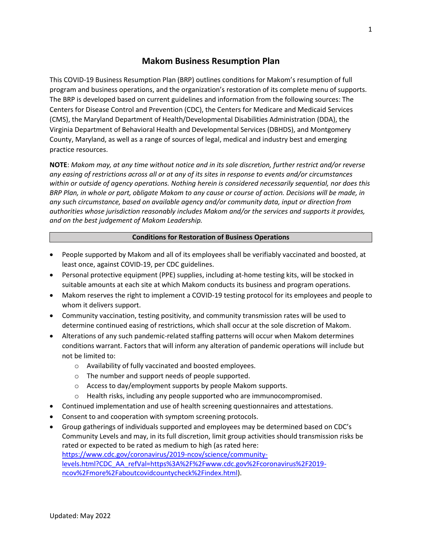# **Makom Business Resumption Plan**

This COVID-19 Business Resumption Plan (BRP) outlines conditions for Makom's resumption of full program and business operations, and the organization's restoration of its complete menu of supports. The BRP is developed based on current guidelines and information from the following sources: The Centers for Disease Control and Prevention (CDC), the Centers for Medicare and Medicaid Services (CMS), the Maryland Department of Health/Developmental Disabilities Administration (DDA), the Virginia Department of Behavioral Health and Developmental Services (DBHDS), and Montgomery County, Maryland, as well as a range of sources of legal, medical and industry best and emerging practice resources.

**NOTE**: *Makom may, at any time without notice and in its sole discretion, further restrict and/or reverse any easing of restrictions across all or at any of its sites in response to events and/or circumstances within or outside of agency operations. Nothing herein is considered necessarily sequential, nor does this BRP Plan, in whole or part, obligate Makom to any cause or course of action. Decisions will be made, in any such circumstance, based on available agency and/or community data, input or direction from authorities whose jurisdiction reasonably includes Makom and/or the services and supports it provides, and on the best judgement of Makom Leadership.*

#### **Conditions for Restoration of Business Operations**

- People supported by Makom and all of its employees shall be verifiably vaccinated and boosted, at least once, against COVID-19, per CDC guidelines.
- Personal protective equipment (PPE) supplies, including at-home testing kits, will be stocked in suitable amounts at each site at which Makom conducts its business and program operations.
- Makom reserves the right to implement a COVID-19 testing protocol for its employees and people to whom it delivers support.
- Community vaccination, testing positivity, and community transmission rates will be used to determine continued easing of restrictions, which shall occur at the sole discretion of Makom.
- Alterations of any such pandemic-related staffing patterns will occur when Makom determines conditions warrant. Factors that will inform any alteration of pandemic operations will include but not be limited to:
	- o Availability of fully vaccinated and boosted employees.
	- o The number and support needs of people supported.
	- o Access to day/employment supports by people Makom supports.
	- o Health risks, including any people supported who are immunocompromised.
- Continued implementation and use of health screening questionnaires and attestations.
- Consent to and cooperation with symptom screening protocols.
- Group gatherings of individuals supported and employees may be determined based on CDC's Community Levels and may, in its full discretion, limit group activities should transmission risks be rated or expected to be rated as medium to high (as rated here: [https://www.cdc.gov/coronavirus/2019-ncov/science/community](https://www.cdc.gov/coronavirus/2019-ncov/science/community-levels.html?CDC_AA_refVal=https%3A%2F%2Fwww.cdc.gov%2Fcoronavirus%2F2019-ncov%2Fmore%2Faboutcovidcountycheck%2Findex.html)[levels.html?CDC\\_AA\\_refVal=https%3A%2F%2Fwww.cdc.gov%2Fcoronavirus%2F2019](https://www.cdc.gov/coronavirus/2019-ncov/science/community-levels.html?CDC_AA_refVal=https%3A%2F%2Fwww.cdc.gov%2Fcoronavirus%2F2019-ncov%2Fmore%2Faboutcovidcountycheck%2Findex.html) [ncov%2Fmore%2Faboutcovidcountycheck%2Findex.html\)](https://www.cdc.gov/coronavirus/2019-ncov/science/community-levels.html?CDC_AA_refVal=https%3A%2F%2Fwww.cdc.gov%2Fcoronavirus%2F2019-ncov%2Fmore%2Faboutcovidcountycheck%2Findex.html).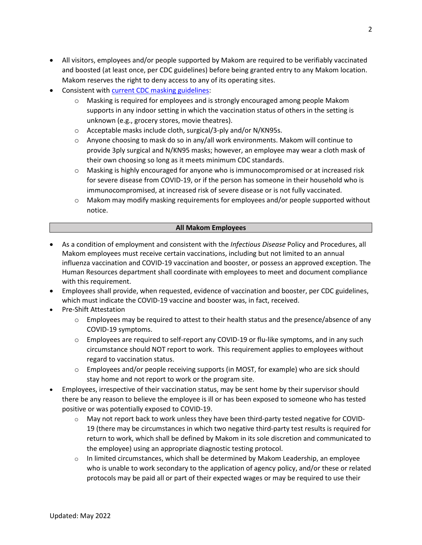- All visitors, employees and/or people supported by Makom are required to be verifiably vaccinated and boosted (at least once, per CDC guidelines) before being granted entry to any Makom location. Makom reserves the right to deny access to any of its operating sites.
- Consistent with [current CDC masking](https://www.cdc.gov/coronavirus/2019-ncov/easy-to-read/mask-guidance.html) guidelines:
	- $\circ$  Masking is required for employees and is strongly encouraged among people Makom supports in any indoor setting in which the vaccination status of others in the setting is unknown (e.g., grocery stores, movie theatres).
	- o Acceptable masks include cloth, surgical/3-ply and/or N/KN95s.
	- $\circ$  Anyone choosing to mask do so in any/all work environments. Makom will continue to provide 3ply surgical and N/KN95 masks; however, an employee may wear a cloth mask of their own choosing so long as it meets minimum CDC standards.
	- o Masking is highly encouraged for anyone who is immunocompromised or at increased risk for severe disease from COVID-19, or if the person has someone in their household who is immunocompromised, at increased risk of severe disease or is not fully vaccinated.
	- $\circ$  Makom may modify masking requirements for employees and/or people supported without notice.

### **All Makom Employees**

- As a condition of employment and consistent with the *Infectious Disease* Policy and Procedures, all Makom employees must receive certain vaccinations, including but not limited to an annual influenza vaccination and COVID-19 vaccination and booster, or possess an approved exception. The Human Resources department shall coordinate with employees to meet and document compliance with this requirement.
- Employees shall provide, when requested, evidence of vaccination and booster, per CDC guidelines, which must indicate the COVID-19 vaccine and booster was, in fact, received.
- Pre-Shift Attestation
	- $\circ$  Employees may be required to attest to their health status and the presence/absence of any COVID-19 symptoms.
	- o Employees are required to self-report any COVID-19 or flu-like symptoms, and in any such circumstance should NOT report to work. This requirement applies to employees without regard to vaccination status.
	- $\circ$  Employees and/or people receiving supports (in MOST, for example) who are sick should stay home and not report to work or the program site.
- Employees, irrespective of their vaccination status, may be sent home by their supervisor should there be any reason to believe the employee is ill or has been exposed to someone who has tested positive or was potentially exposed to COVID-19.
	- o May not report back to work unless they have been third-party tested negative for COVID-19 (there may be circumstances in which two negative third-party test results is required for return to work, which shall be defined by Makom in its sole discretion and communicated to the employee) using an appropriate diagnostic testing protocol.
	- $\circ$  In limited circumstances, which shall be determined by Makom Leadership, an employee who is unable to work secondary to the application of agency policy, and/or these or related protocols may be paid all or part of their expected wages or may be required to use their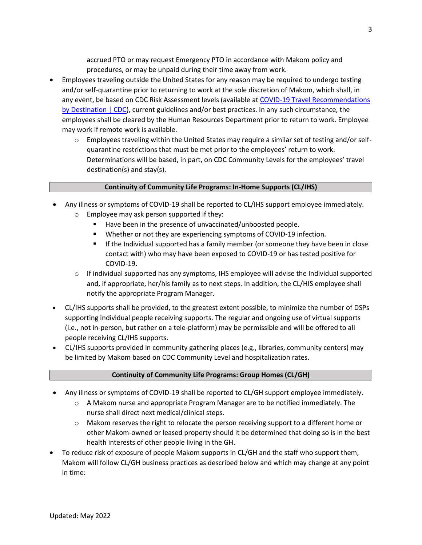accrued PTO or may request Emergency PTO in accordance with Makom policy and procedures, or may be unpaid during their time away from work.

- Employees traveling outside the United States for any reason may be required to undergo testing and/or self-quarantine prior to returning to work at the sole discretion of Makom, which shall, in any event, be based on CDC Risk Assessment levels (available at [COVID-19 Travel Recommendations](https://www.cdc.gov/coronavirus/2019-ncov/travelers/map-and-travel-notices.html)  [by Destination | CDC\)](https://www.cdc.gov/coronavirus/2019-ncov/travelers/map-and-travel-notices.html), current guidelines and/or best practices. In any such circumstance, the employees shall be cleared by the Human Resources Department prior to return to work. Employee may work if remote work is available.
	- $\circ$  Employees traveling within the United States may require a similar set of testing and/or selfquarantine restrictions that must be met prior to the employees' return to work. Determinations will be based, in part, on CDC Community Levels for the employees' travel destination(s) and stay(s).

### **Continuity of Community Life Programs: In-Home Supports (CL/IHS)**

- Any illness or symptoms of COVID-19 shall be reported to CL/IHS support employee immediately. o Employee may ask person supported if they:
	- Have been in the presence of unvaccinated/unboosted people.
	- Whether or not they are experiencing symptoms of COVID-19 infection.
	- **■** If the Individual supported has a family member (or someone they have been in close contact with) who may have been exposed to COVID-19 or has tested positive for COVID-19.
	- $\circ$  If individual supported has any symptoms, IHS employee will advise the Individual supported and, if appropriate, her/his family as to next steps. In addition, the CL/HIS employee shall notify the appropriate Program Manager.
- CL/IHS supports shall be provided, to the greatest extent possible, to minimize the number of DSPs supporting individual people receiving supports. The regular and ongoing use of virtual supports (i.e., not in-person, but rather on a tele-platform) may be permissible and will be offered to all people receiving CL/IHS supports.
- CL/IHS supports provided in community gathering places (e.g., libraries, community centers) may be limited by Makom based on CDC Community Level and hospitalization rates.

#### **Continuity of Community Life Programs: Group Homes (CL/GH)**

- Any illness or symptoms of COVID-19 shall be reported to CL/GH support employee immediately.
	- $\circ$  A Makom nurse and appropriate Program Manager are to be notified immediately. The nurse shall direct next medical/clinical steps.
	- $\circ$  Makom reserves the right to relocate the person receiving support to a different home or other Makom-owned or leased property should it be determined that doing so is in the best health interests of other people living in the GH.
- To reduce risk of exposure of people Makom supports in CL/GH and the staff who support them, Makom will follow CL/GH business practices as described below and which may change at any point in time: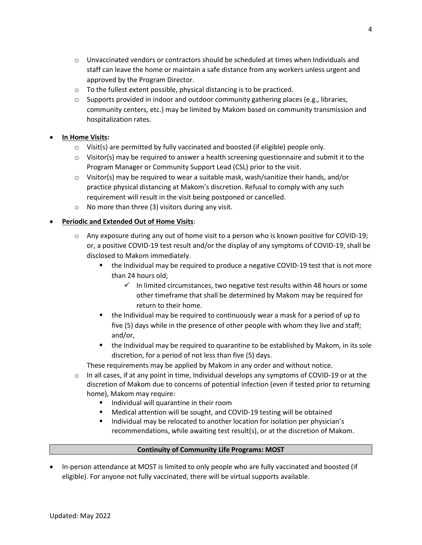- $\circ$  Unvaccinated vendors or contractors should be scheduled at times when Individuals and staff can leave the home or maintain a safe distance from any workers unless urgent and approved by the Program Director.
- o To the fullest extent possible, physical distancing is to be practiced.
- $\circ$  Supports provided in indoor and outdoor community gathering places (e.g., libraries, community centers, etc.) may be limited by Makom based on community transmission and hospitalization rates.

## • **In Home Visits:**

- o Visit(s) are permitted by fully vaccinated and boosted (if eligible) people only.
- $\circ$  Visitor(s) may be required to answer a health screening questionnaire and submit it to the Program Manager or Community Support Lead (CSL) prior to the visit.
- $\circ$  Visitor(s) may be required to wear a suitable mask, wash/sanitize their hands, and/or practice physical distancing at Makom's discretion. Refusal to comply with any such requirement will result in the visit being postponed or cancelled.
- $\circ$  No more than three (3) visitors during any visit.

## • **Periodic and Extended Out of Home Visits**:

- $\circ$  Any exposure during any out of home visit to a person who is known positive for COVID-19; or, a positive COVID-19 test result and/or the display of any symptoms of COVID-19, shall be disclosed to Makom immediately.
	- the Individual may be required to produce a negative COVID-19 test that is not more than 24 hours old;
		- $\checkmark$  In limited circumstances, two negative test results within 48 hours or some other timeframe that shall be determined by Makom may be required for return to their home.
	- the Individual may be required to continuously wear a mask for a period of up to five (5) days while in the presence of other people with whom they live and staff; and/or,
	- the Individual may be required to quarantine to be established by Makom, in its sole discretion, for a period of not less than five (5) days.

These requirements may be applied by Makom in any order and without notice.

- $\circ$  In all cases, if at any point in time, Individual develops any symptoms of COVID-19 or at the discretion of Makom due to concerns of potential infection (even if tested prior to returning home), Makom may require:
	- Individual will quarantine in their room
	- Medical attention will be sought, and COVID-19 testing will be obtained
	- Individual may be relocated to another location for isolation per physician's recommendations, while awaiting test result(s), or at the discretion of Makom.

## **Continuity of Community Life Programs: MOST**

• In-person attendance at MOST is limited to only people who are fully vaccinated and boosted (if eligible). For anyone not fully vaccinated, there will be virtual supports available.